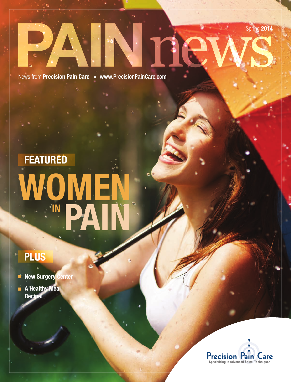Spring 2014



News from Precision Pain Care . www.PrecisionPainCare.com

Ine

# WOMEN E "PAIN FEATURED

# PLUS

- New Surgery Center
- **A Healthy Meal** Recipe!

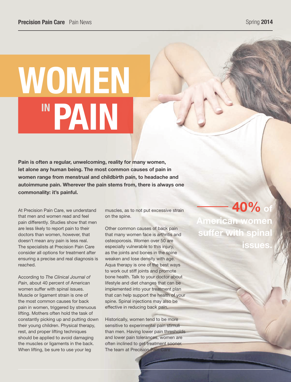# WOMEN IN PAIN

Pain is often a regular, unwelcoming, reality for many women, let alone any human being. The most common causes of pain in women range from menstrual and childbirth pain, to headache and autoimmune pain. Wherever the pain stems from, there is always one commonality: it's painful.

At Precision Pain Care, we understand that men and women read and feel pain differently. Studies show that men are less likely to report pain to their doctors than women, however, that doesn't mean any pain is less real. The specialists at Precision Pain Care consider all options for treatment after ensuring a precise and real diagnosis is reached.

According to *The Clinical Journal of Pain*, about 40 percent of American women suffer with spinal issues. Muscle or ligament strain is one of the most common causes for back pain in women, triggered by strenuous lifting. Mothers often hold the task of constantly picking up and putting down their young children. Physical therapy, rest, and proper lifting techniques should be applied to avoid damaging the muscles or ligaments in the back. When lifting, be sure to use your leg

muscles, as to not put excessive strain on the spine.

Other common causes of back pain that many women face is arthritis and osteoporosis. Women over 50 are especially vulnerable to this injury, as the joints and bones in the spine weaken and lose density with age. Aqua therapy is one of the best ways to work out stiff joints and promote bone health. Talk to your doctor about lifestyle and diet changes that can be implemented into your treatment plan that can help support the health of your spine. Spinal injections may also be effective in reducing back pain.

Historically, women tend to be more sensitive to experimental pain stimuli than men. Having lower pain thresholds and lower pain tolerances, women are often inclined to get treatment sooner. The team at Precision Pain Care

40% of American women suffer with spinal **issues**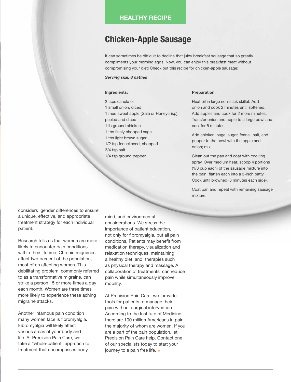# HEALTHY RECIPE

# Chicken-Apple Sausage

It can sometimes be difficult to decline that juicy breakfast sausage that so greatly compliments your morning eggs. Now, you can enjoy this breakfast meat without compromising your diet! Check out this recipe for chicken-apple sausage:

### *Serving size: 8 patties*

#### Ingredients:

2 tsps canola oil 1 small onion, diced 1 med sweet apple (Gala or Honeycrisp), peeled and diced 1 lb ground chicken 1 tbs finely chopped sage 1 tbs light brown sugar 1/2 tsp fennel seed, chopped 3/4 tsp salt 1/4 tsp ground pepper

#### Preparation:

Heat oil in large non-stick skillet. Add onion and cook 2 minutes until softened. Add apples and cook for 2 more minutes. Transfer onion and apple to a large bowl and cool for 5 minutes.

Add chicken, sage, sugar, fennel, salt, and pepper to the bowl with the apple and onion; mix

Clean out the pan and coat with cooking spray. Over medium heat, scoop 4 portions (1/3 cup each) of the sausage mixture into the pain; flatten each into a 3-inch patty. Cook until browned (3 minutes each side).

Coat pan and repeat with remaining sausage mixture.

considers gender differences to ensure a unique, effective, and appropriate treatment strategy for each individual patient.

Research tells us that women are more likely to encounter pain conditions within their lifetime. Chronic migraines affect two percent of the population, most often affecting women. This debilitating problem, commonly referred to as a transformative migraine, can strike a person 15 or more times a day each month. Women are three times more likely to experience these aching migraine attacks.

Another infamous pain condition many women face is fibromyalgia. Fibromyalgia will likely affect various areas of your body and life. At Precision Pain Care, we take a "whole-patient" approach to treatment that encompasses body, mind, and environmental considerations. We stress the importance of patient education, not only for fibromyalgia, but all pain conditions. Patients may benefit from medication therapy, visualization and relaxation techniques, maintaining a healthy diet, and therapies such as physical therapy and massage. A collaboration of treatments can reduce pain while simultaneously improve mobility.

At Precision Pain Care, we provide tools for patients to manage their pain without surgical intervention. According to the Institute of Medicine, there are 100 million Americans in pain, the majority of whom are women. If you are a part of the pain population, let Precision Pain Care help. Contact one of our specialists today to start your journey to a pain free life.  $\bullet$